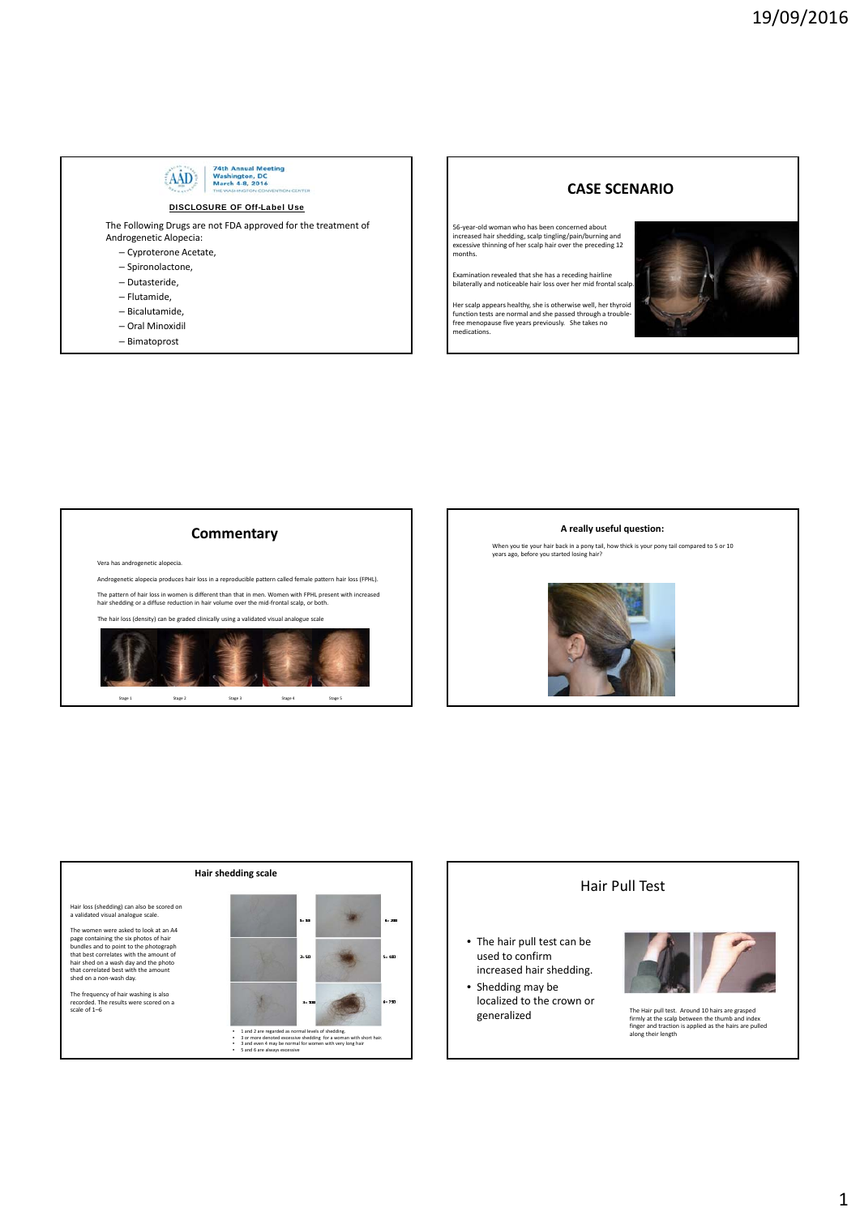

– Bimatoprost

## **CASE SCENARIO**

56‐year‐old woman who has been concerned about increased hair shedding, scalp tingling/pain/burning and excessive thinning of her scalp hair over the preceding 12 months.

Examination revealed that she has a receding hairline bilaterally and noticeable hair loss over her mid frontal scalp.

Her scalp appears healthy, she is otherwise well, her thyroid function tests are normal and she passed through a trouble‐ free menopause five years previously. She takes no medications.





#### **A really useful question:**

When you tie your hair back in a pony tail, how thick is your pony tail compared to 5 or 10 years ago, before you started losing hair?



Hair Pull Test





The Hair pull test. Around 10 hair pull test. Around 10 hairs are grasped<br>firmly at the scalp between the thumb and index<br>finger and traction is applied as the hairs are pulled<br>along their length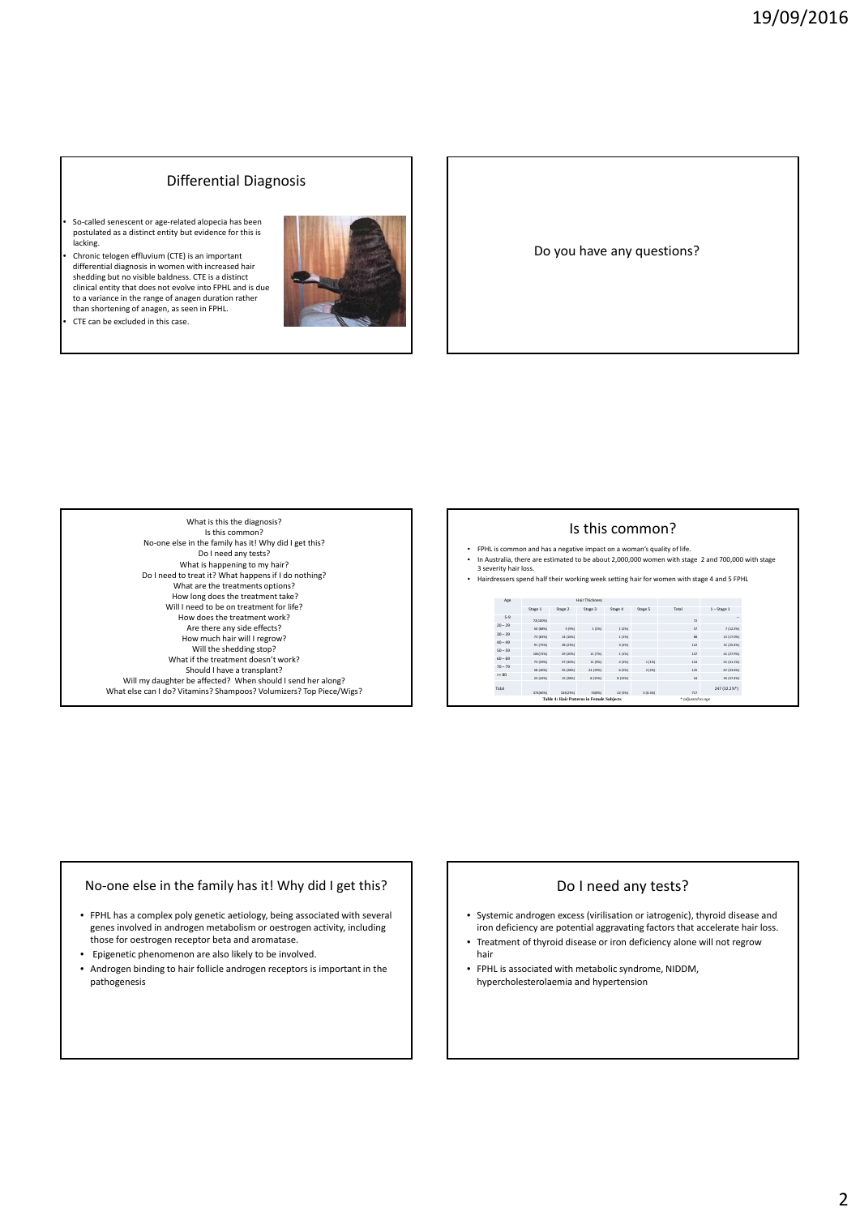# Differential Diagnosis

- So-called senescent or age-related alopecia has been postulated as a distinct entity but evidence for this is lacking.
- Chronic telogen effluvium (CTE) is an important differential diagnosis in women with increased hair shedding but no visible baldness. CTE is a distinct clinical entity that does not evolve into FPHL and is due to a variance in the range of anagen duration rather than shortening of anagen, as seen in FPHL. • CTE can be excluded in this case.



Do you have any questions?

What is this the diagnosis? Is this common? No‐one else in the family has it! Why did I get this? Do I need any tests? What is happening to my hair? Do I need to treat it? What happens if I do nothing? What are the treatments options? How long does the treatment take? Will I need to be on treatment for life? How does the treatment work? Are there any side effects? How much hair will I regrow? Will the shedding stop? What if the treatment doesn't work? Should I have a transplant? Will my daughter be affected? When should I send her along? What else can I do? Vitamins? Shampoos? Volumizers? Top Piece/Wigs?

## Is this common?

- FPHL is common and has a negative impact on a woman's quality of life.
- In Australia, there are estimated to be about 2,000,000 women with stage 2 and 700,000 with stage 3 severity hair loss.
- Hairdressers spend half their working week setting hair for women with stage 4 and 5 FPHL

| Age       | Hair Thickness |          |          |          |         |       |               |
|-----------|----------------|----------|----------|----------|---------|-------|---------------|
|           | Stage 1        | Stage 2  | Stage 3  | Stage 4  | Stage 5 | Total | $1 - Stage 1$ |
| 5.9       | 721100%        |          |          |          |         | 72    | $\sim$        |
| $20 - 29$ | 50 (88%)       | 5(9%)    | 1(25)    | 1(256)   |         | 57    | 7(12.35)      |
| $30 - 39$ | 73 (83%)       | 14 (16%) |          | 1(15)    |         | 88    | 15 (17.0%)    |
| $40 - 49$ | 91 (75%)       | 28 (23%) |          | 3(256)   |         | 122   | 31 (25.4%)    |
| $50 - 59$ | 106(72%)       | 29 (20%) | 11 (7%)  | 1 (1%)   |         | 147   | 41 (27.9%)    |
| $60 - 69$ | 73 (59%)       | 37 (30%) | 11 (9%)  | 2(256)   | 1(15)   | 124   | 51 (41.1%)    |
| $70 - 79$ | 58 (46%)       | 35 (28%) | 24 (19%) | 6 (5%)   | 2(256)  | 125   | 67 (53.6%)    |
| $>= 80$   | 23 (43%)       | 15 (28%) | 8 (15%)  | \$ (15%) |         | 54    | 35 (57.4%)    |
| Total     | 474166%)       | 163(23%) | 55/850   | 22 (3%)  | 3(0.45) | 717   | 247 (32.2%*)  |

### No‐one else in the family has it! Why did I get this?

- FPHL has a complex poly genetic aetiology, being associated with several genes involved in androgen metabolism or oestrogen activity, including those for oestrogen receptor beta and aromatase.
- Epigenetic phenomenon are also likely to be involved.
- Androgen binding to hair follicle androgen receptors is important in the pathogenesis

## Do I need any tests?

- Systemic androgen excess (virilisation or iatrogenic), thyroid disease and iron deficiency are potential aggravating factors that accelerate hair loss.
- Treatment of thyroid disease or iron deficiency alone will not regrow hair
- FPHL is associated with metabolic syndrome, NIDDM, hypercholesterolaemia and hypertension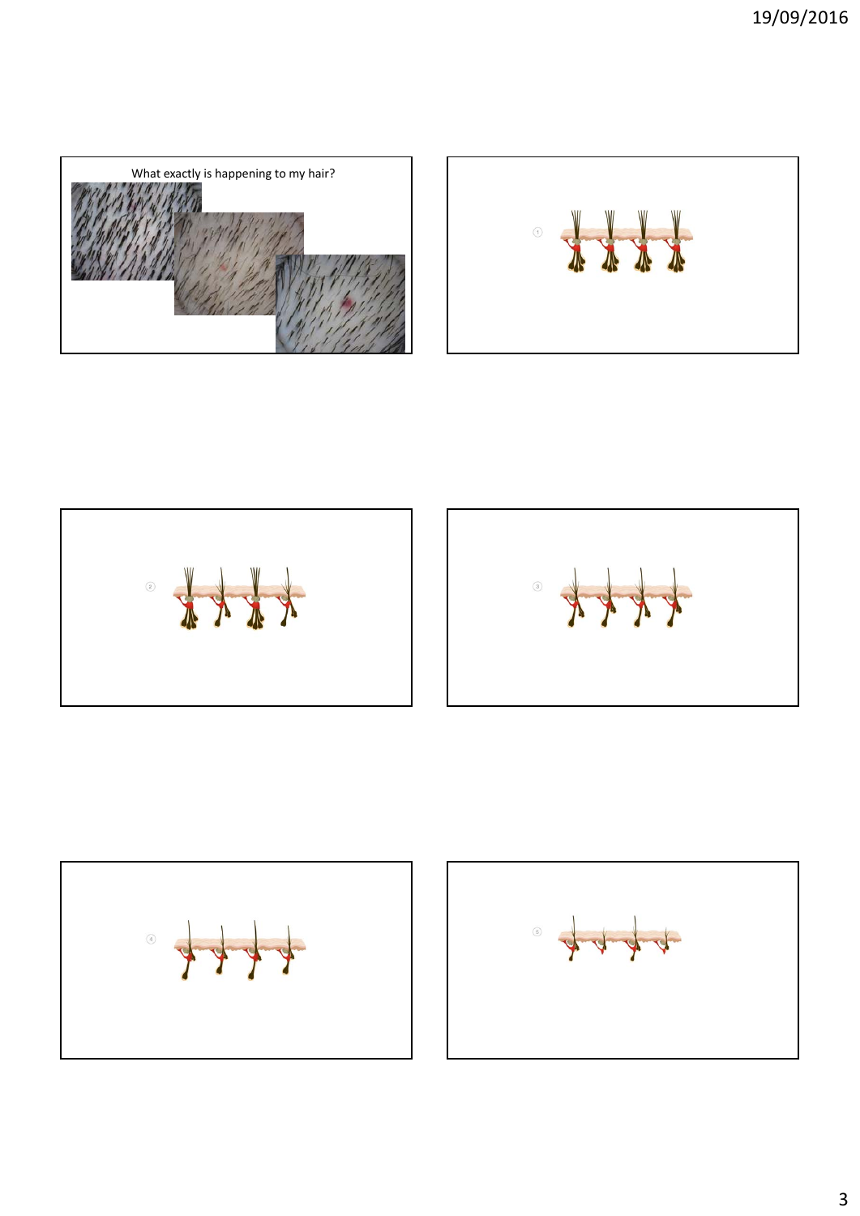







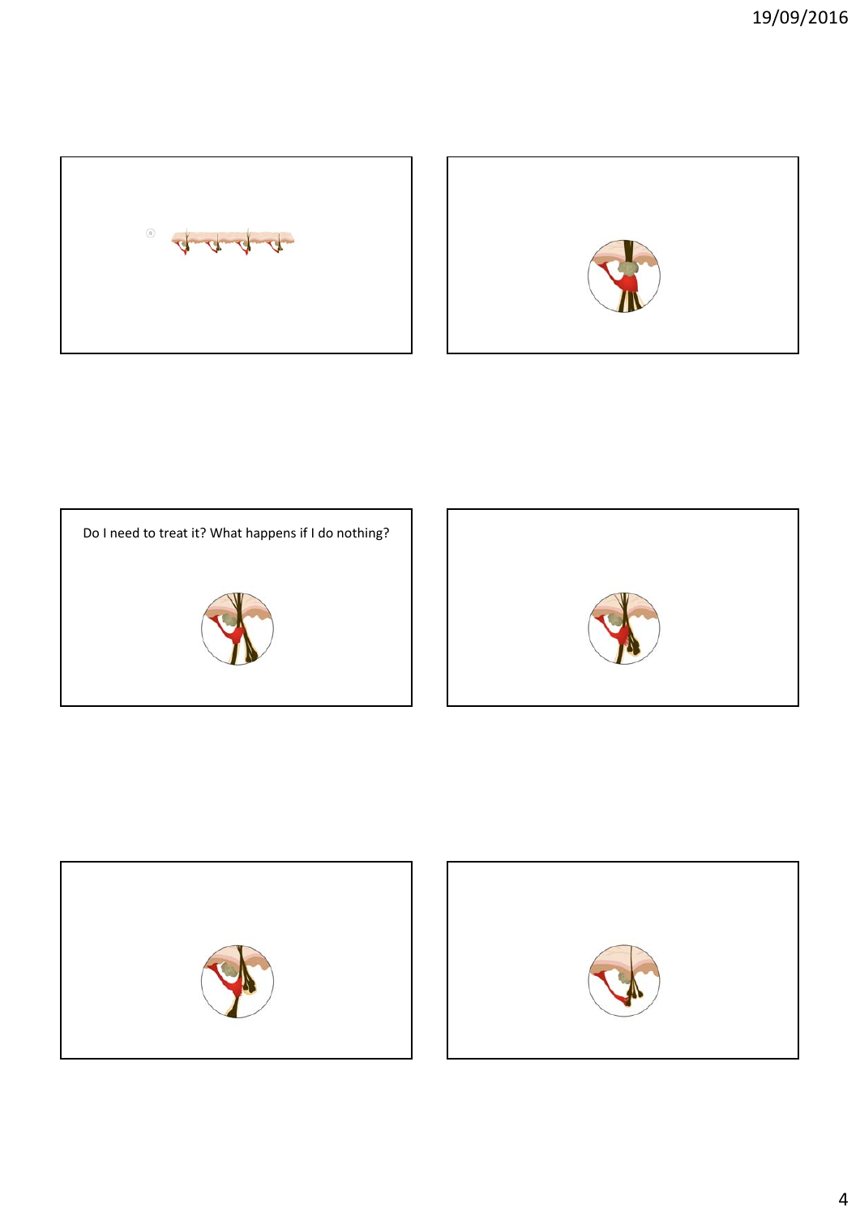







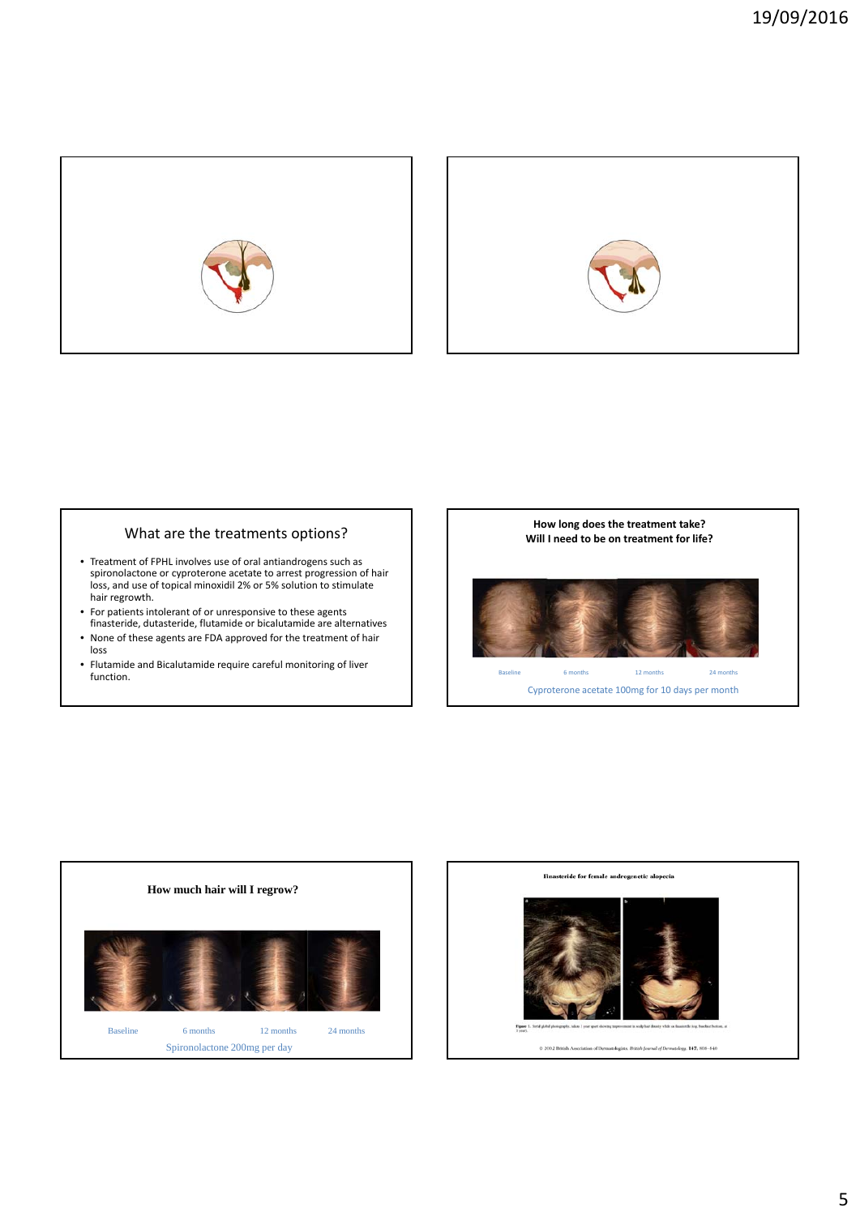



# What are the treatments options?

- Treatment of FPHL involves use of oral antiandrogens such as spironolactone or cyproterone acetate to arrest progression of hair loss, and use of topical minoxidil 2% or 5% solution to stimulate hair regrowth.
- For patients intolerant of or unresponsive to these agents finasteride, dutasteride, flutamide or bicalutamide are alternatives
- None of these agents are FDA approved for the treatment of hair loss
- Flutamide and Bicalutamide require careful monitoring of liver function.





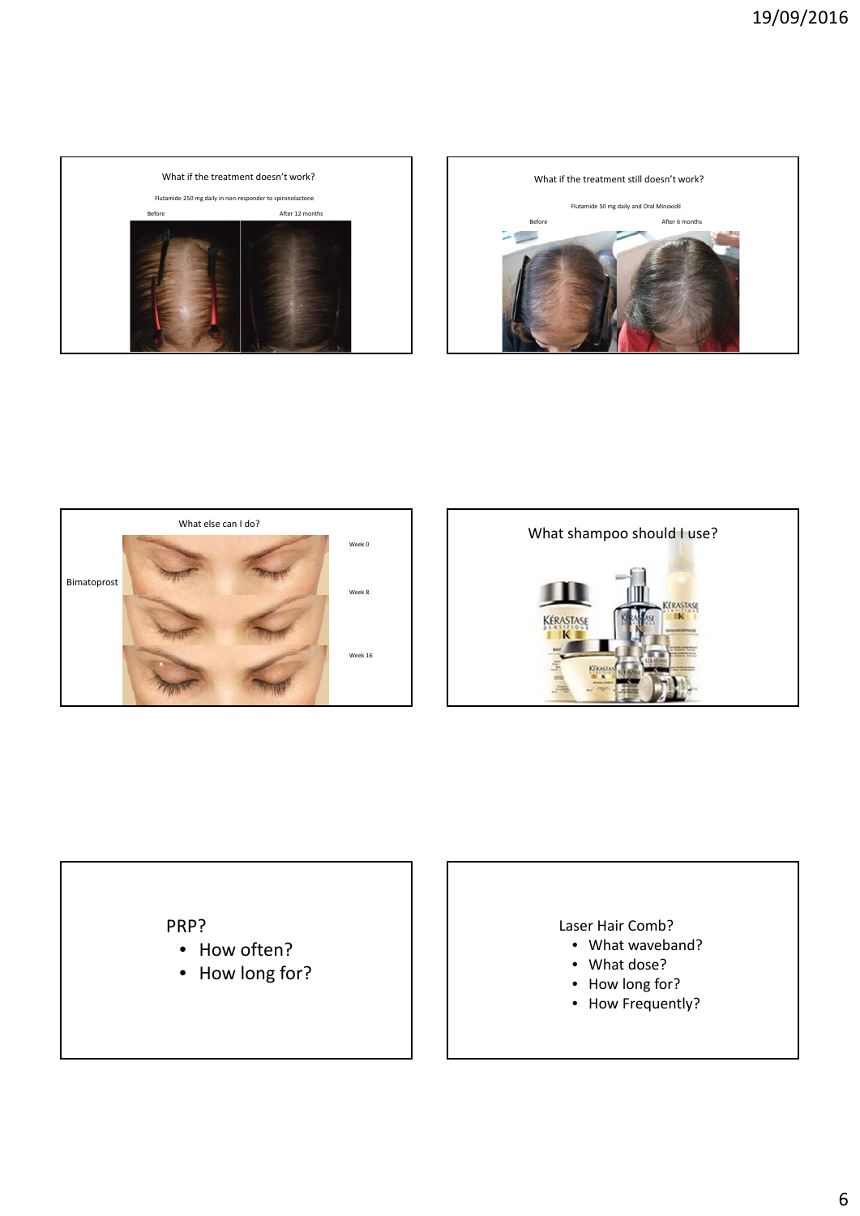







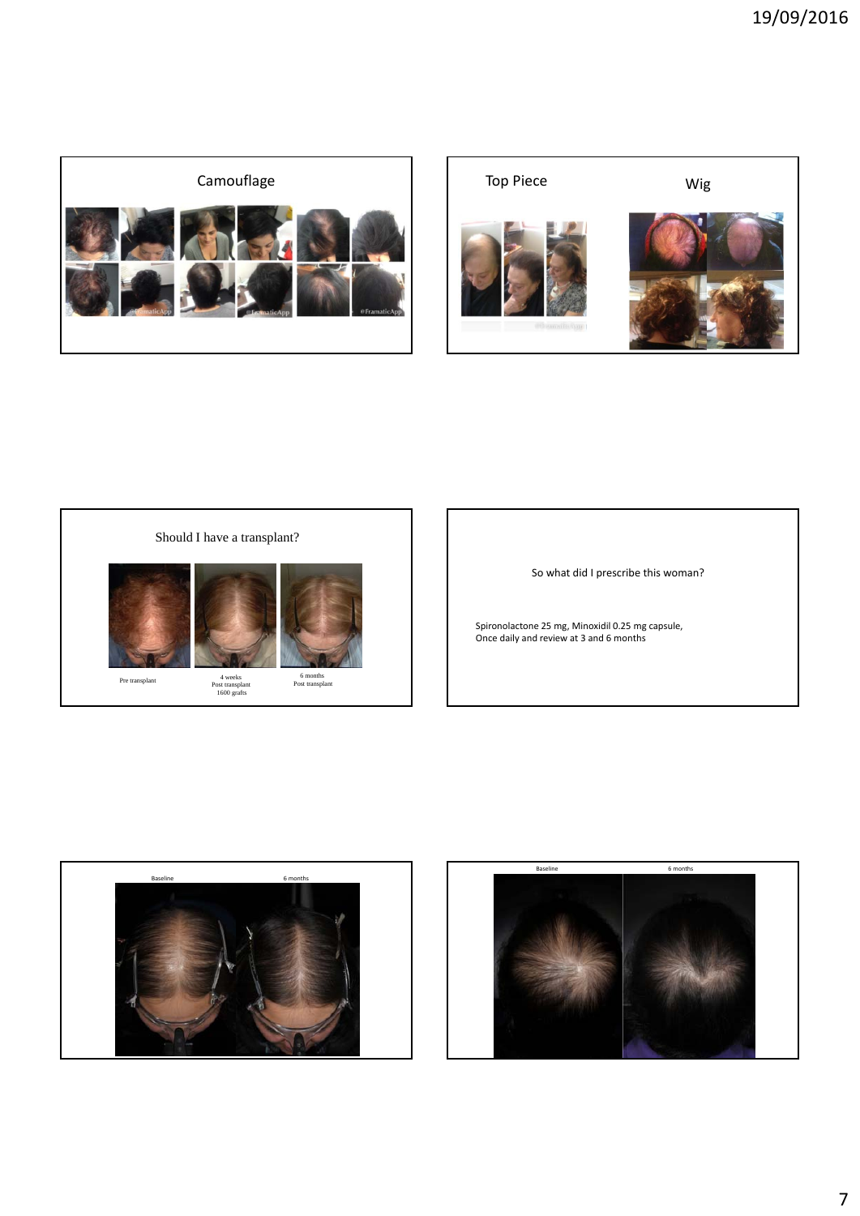





So what did I prescribe this woman?

Spironolactone 25 mg, Minoxidil 0.25 mg capsule, Once daily and review at 3 and 6 months



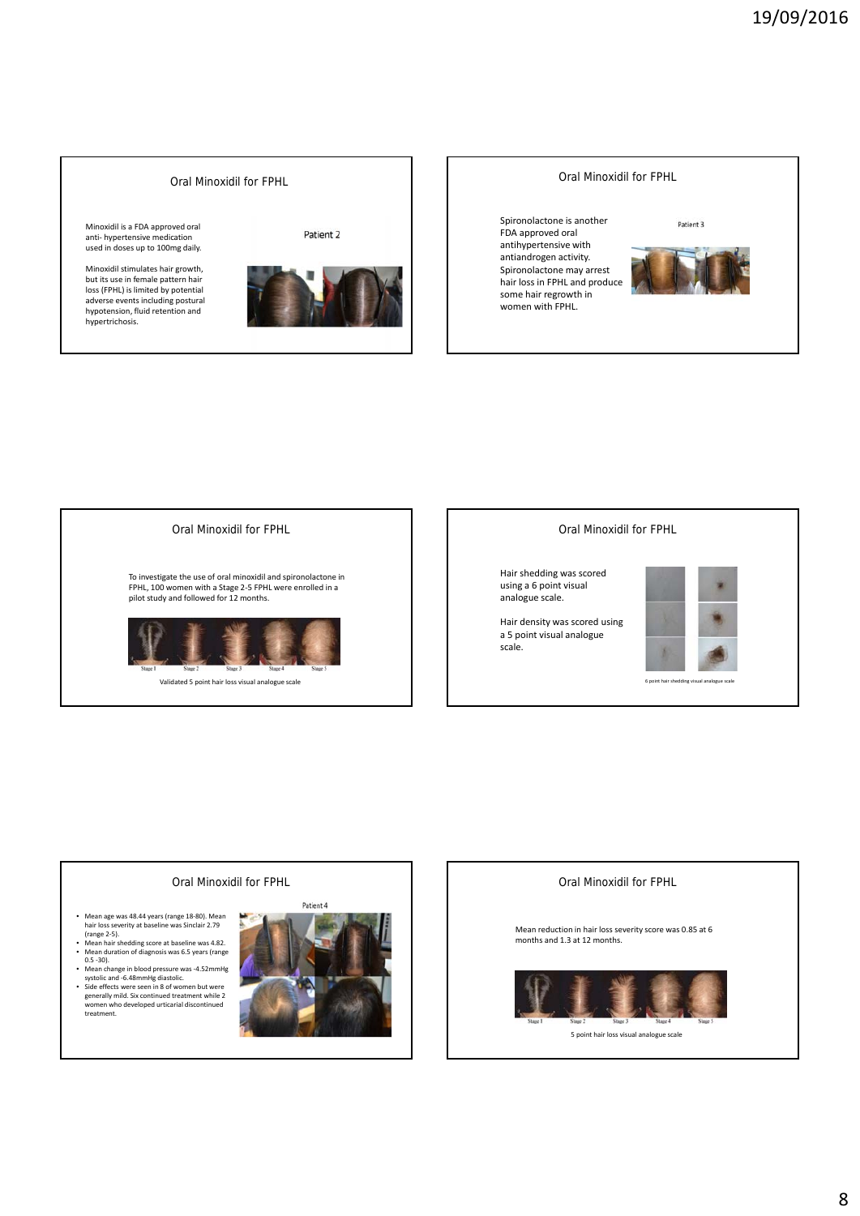## Oral Minoxidil for FPHL

Minoxidil is a FDA approved oral anti‐ hypertensive medication used in doses up to 100mg daily.

Minoxidil stimulates hair growth, but its use in female pattern hair loss (FPHL) is limited by potential adverse events including postural hypotension, fluid retention and hypertrichosis.



Patient 2

# Oral Minoxidil for FPHL Spironolactone is another Patient 3 FDA approved oral antihypertensive with antiandrogen activity. Spironolactone may arrest hair loss in FPHL and produce some hair regrowth in women with FPHL.

Oral Minoxidil for FPHL

To investigate the use of oral minoxidil and spironolactone in FPHL, 100 women with a Stage 2‐5 FPHL were enrolled in a pilot study and followed for 12 months.



## Oral Minoxidil for FPHL

Hair shedding was scored using a 6 point visual analogue scale.

Hair density was scored using a 5 point visual analogue scale.



6 point hair shedding visual analogue scale



- Mean age was 48.44 years (range 18-80). Mean<br>
Irair loss severity at baseline was Sinclair 2.79<br>
(range 2-5).<br>
Mean hair shedding score at baseline was 4.82.<br>
 Mean duration of diagnosis was 6.5 years (range<br>
0.5-30).<br>
•
- 
- 
- systolic and ‐6.48mmHg diastolic. Side effects were seen in 8 of women but were generally mild. Six continued treatment while 2 women who developed urticarial discontinued treatment.

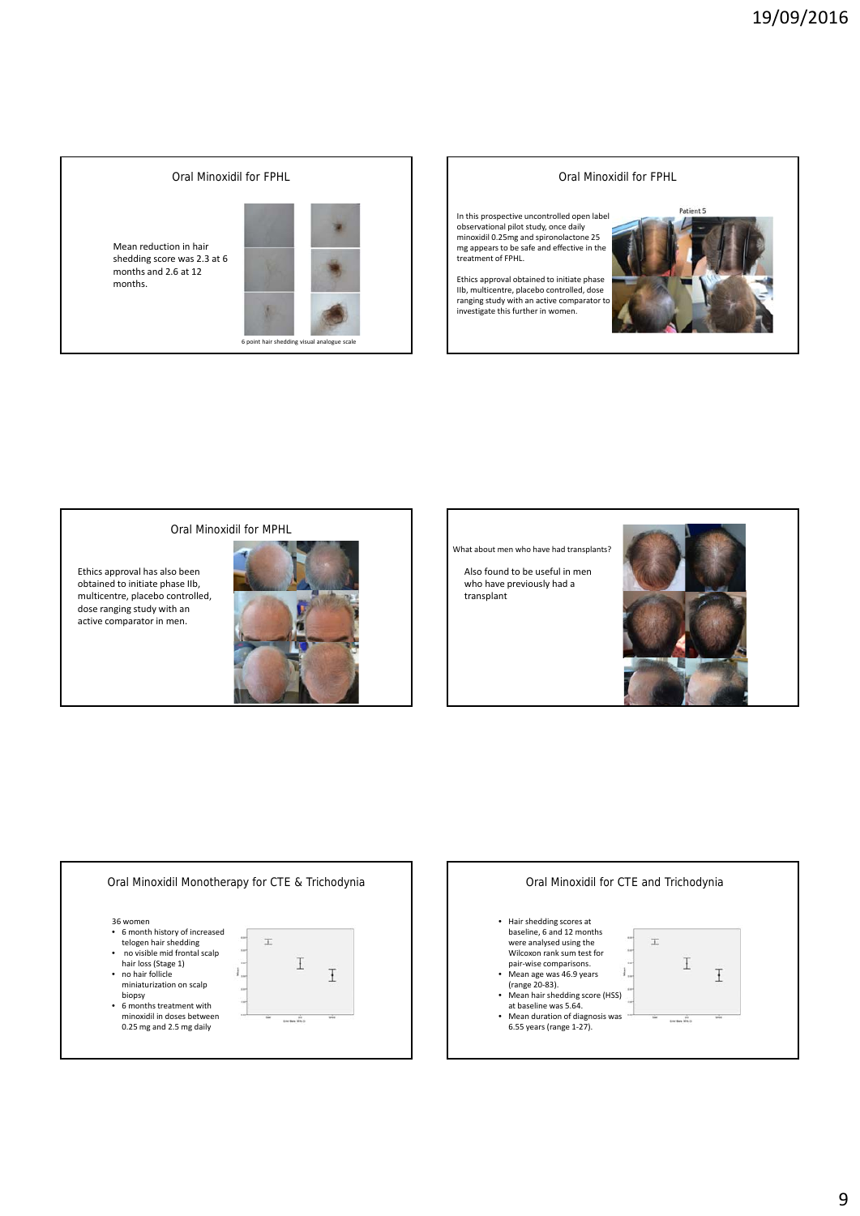#### Oral Minoxidil for FPHL

Mean reduction in hair shedding score was 2.3 at 6 months and 2.6 at 12 months.





## Oral Minoxidil for MPHL

Ethics approval has also been obtained to initiate phase IIb, multicentre, placebo controlled, dose ranging study with an active comparator in men.



What about men who have had transplants?

Also found to be useful in men who have previously had a transplant